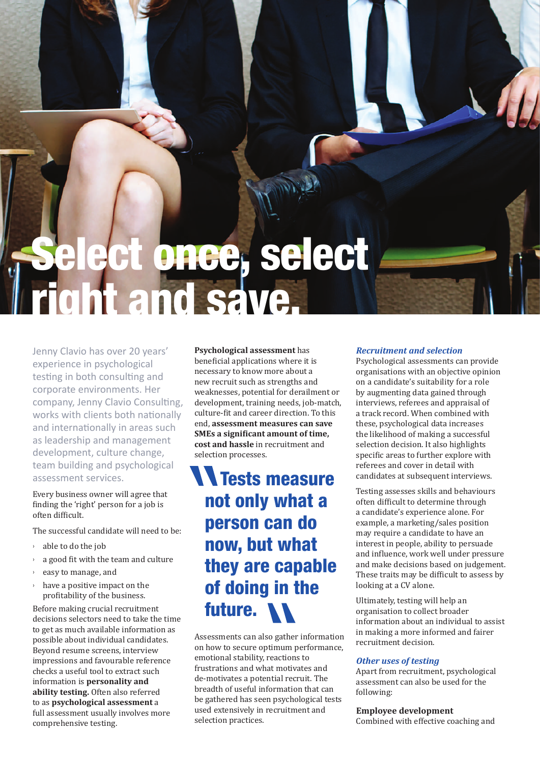# ce, select right and save.

Jenny Clavio has over 20 years' experience in psychological testing in both consulting and corporate environments. Her company, Jenny Clavio Consulting, works with clients both nationally and internationally in areas such as leadership and management development, culture change, team building and psychological assessment services.

Every business owner will agree that finding the 'right' person for a job is often difficult.

The successful candidate will need to be:

- › able to do the job
- a good fit with the team and culture
- easy to manage, and
- › have a positive impact on the profitability of the business.

Before making crucial recruitment decisions selectors need to take the time to get as much available information as possible about individual candidates. Beyond resume screens, interview impressions and favourable reference checks a useful tool to extract such information is **personality and ability testing.** Often also referred to as **psychological assessment** a full assessment usually involves more comprehensive testing.

**Psychological assessment** has beneficial applications where it is necessary to know more about a new recruit such as strengths and weaknesses, potential for derailment or development, training needs, job-match, culture-fit and career direction. To this end, **assessment measures can save SMEs a significant amount of time, cost and hassle** in recruitment and selection processes.

# **N Tests measure** not only what a person can do now, but what they are capable of doing in the future.

Assessments can also gather information on how to secure optimum performance, emotional stability, reactions to frustrations and what motivates and de-motivates a potential recruit. The breadth of useful information that can be gathered has seen psychological tests used extensively in recruitment and selection practices.

### *Recruitment and selection*

Psychological assessments can provide organisations with an objective opinion on a candidate's suitability for a role by augmenting data gained through interviews, referees and appraisal of a track record. When combined with these, psychological data increases the likelihood of making a successful selection decision. It also highlights specific areas to further explore with referees and cover in detail with candidates at subsequent interviews.

Testing assesses skills and behaviours often difficult to determine through a candidate's experience alone. For example, a marketing/sales position may require a candidate to have an interest in people, ability to persuade and influence, work well under pressure and make decisions based on judgement. These traits may be difficult to assess by looking at a CV alone.

Ultimately, testing will help an organisation to collect broader information about an individual to assist in making a more informed and fairer recruitment decision.

#### *Other uses of testing*

Apart from recruitment, psychological assessment can also be used for the following:

**Employee development**  Combined with effective coaching and